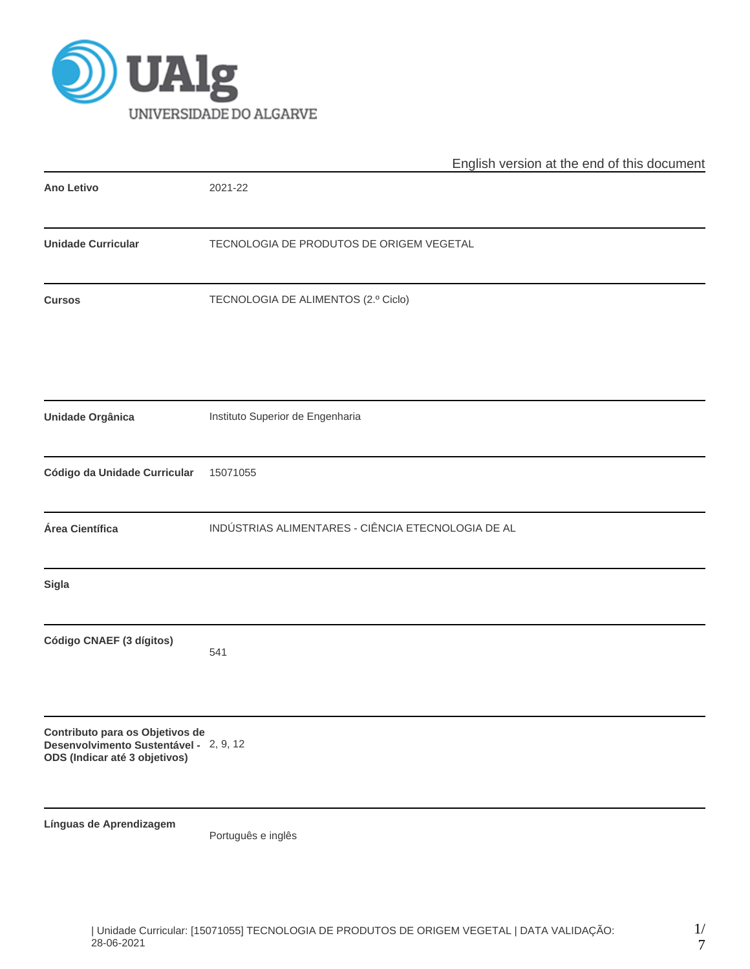

|                                                                                                            | English version at the end of this document        |  |  |  |  |  |
|------------------------------------------------------------------------------------------------------------|----------------------------------------------------|--|--|--|--|--|
| <b>Ano Letivo</b>                                                                                          | 2021-22                                            |  |  |  |  |  |
| <b>Unidade Curricular</b>                                                                                  | TECNOLOGIA DE PRODUTOS DE ORIGEM VEGETAL           |  |  |  |  |  |
| <b>Cursos</b>                                                                                              | TECNOLOGIA DE ALIMENTOS (2.º Ciclo)                |  |  |  |  |  |
| Unidade Orgânica                                                                                           | Instituto Superior de Engenharia                   |  |  |  |  |  |
| Código da Unidade Curricular                                                                               | 15071055                                           |  |  |  |  |  |
| Área Científica                                                                                            | INDÚSTRIAS ALIMENTARES - CIÊNCIA ETECNOLOGIA DE AL |  |  |  |  |  |
| Sigla                                                                                                      |                                                    |  |  |  |  |  |
| Código CNAEF (3 dígitos)                                                                                   | 541                                                |  |  |  |  |  |
| Contributo para os Objetivos de<br>Desenvolvimento Sustentável - 2, 9, 12<br>ODS (Indicar até 3 objetivos) |                                                    |  |  |  |  |  |
| Línguas de Aprendizagem                                                                                    | Português e inglês                                 |  |  |  |  |  |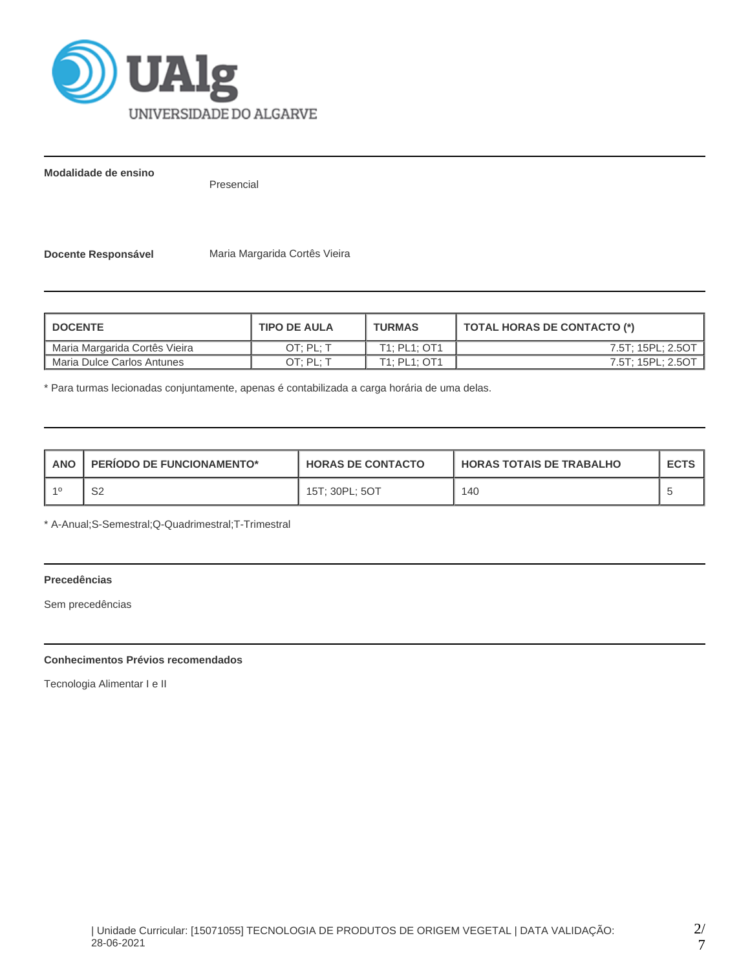

**Modalidade de ensino**

Presencial

**Docente Responsável** Maria Margarida Cortês Vieira

| <b>DOCENTE</b>                | <b>TIPO DE AULA</b> | <b>TURMAS</b> | <b>TOTAL HORAS DE CONTACTO (*)</b> |  |  |
|-------------------------------|---------------------|---------------|------------------------------------|--|--|
| Maria Margarida Cortês Vieira | OT: PL: T           | T1: PL1: OT1  | 7.5T; 15PL; 2.5OT                  |  |  |
| Maria Dulce Carlos Antunes    | OT: PL: T           | T1: PL1: OT1  | 7.5T; 15PL; 2.5OT                  |  |  |

\* Para turmas lecionadas conjuntamente, apenas é contabilizada a carga horária de uma delas.

| <b>ANO</b> | <b>PERIODO DE FUNCIONAMENTO*</b> | <b>HORAS DE CONTACTO</b> | I HORAS TOTAIS DE TRABALHO | <b>ECTS</b> |
|------------|----------------------------------|--------------------------|----------------------------|-------------|
|            | ⌒∩<br>ےت                         | 15T: 30PL: 5OT           | 140                        |             |

\* A-Anual;S-Semestral;Q-Quadrimestral;T-Trimestral

# **Precedências**

Sem precedências

# **Conhecimentos Prévios recomendados**

Tecnologia Alimentar I e II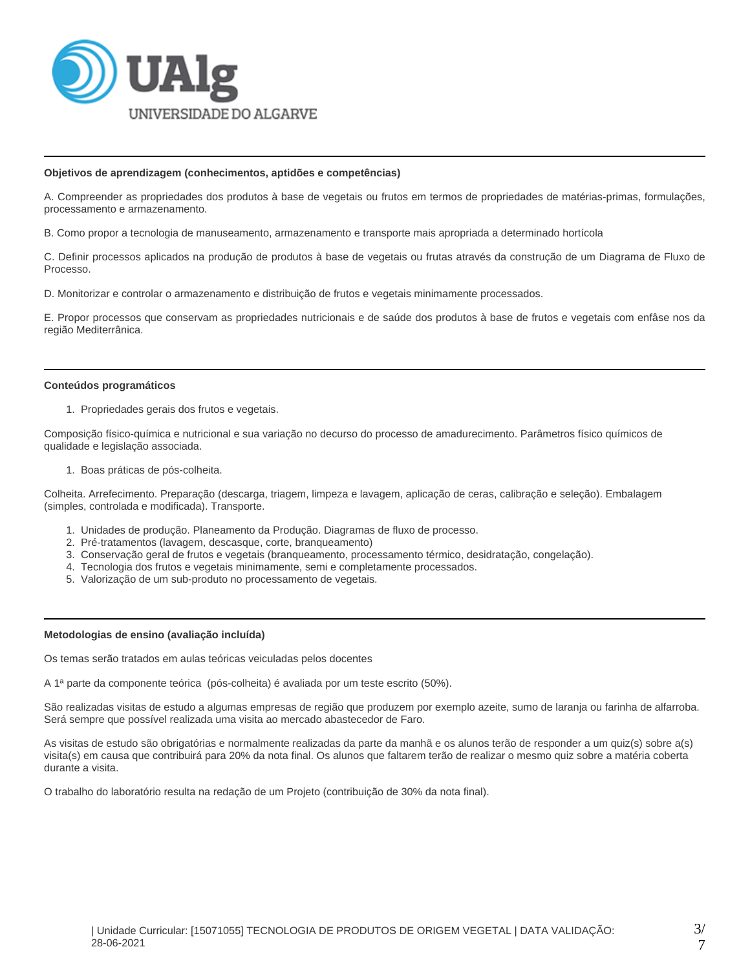

#### **Objetivos de aprendizagem (conhecimentos, aptidões e competências)**

A. Compreender as propriedades dos produtos à base de vegetais ou frutos em termos de propriedades de matérias-primas, formulações, processamento e armazenamento.

B. Como propor a tecnologia de manuseamento, armazenamento e transporte mais apropriada a determinado hortícola

C. Definir processos aplicados na produção de produtos à base de vegetais ou frutas através da construção de um Diagrama de Fluxo de Processo.

D. Monitorizar e controlar o armazenamento e distribuição de frutos e vegetais minimamente processados.

E. Propor processos que conservam as propriedades nutricionais e de saúde dos produtos à base de frutos e vegetais com enfâse nos da região Mediterrânica.

#### **Conteúdos programáticos**

1. Propriedades gerais dos frutos e vegetais.

Composição físico-química e nutricional e sua variação no decurso do processo de amadurecimento. Parâmetros físico químicos de qualidade e legislação associada.

1. Boas práticas de pós-colheita.

Colheita. Arrefecimento. Preparação (descarga, triagem, limpeza e lavagem, aplicação de ceras, calibração e seleção). Embalagem (simples, controlada e modificada). Transporte.

- 1. Unidades de produção. Planeamento da Produção. Diagramas de fluxo de processo.
- 2. Pré-tratamentos (lavagem, descasque, corte, branqueamento)
- 3. Conservação geral de frutos e vegetais (branqueamento, processamento térmico, desidratação, congelação).
- 4. Tecnologia dos frutos e vegetais minimamente, semi e completamente processados.
- 5. Valorização de um sub-produto no processamento de vegetais.

#### **Metodologias de ensino (avaliação incluída)**

Os temas serão tratados em aulas teóricas veiculadas pelos docentes

A 1ª parte da componente teórica (pós-colheita) é avaliada por um teste escrito (50%).

São realizadas visitas de estudo a algumas empresas de região que produzem por exemplo azeite, sumo de laranja ou farinha de alfarroba. Será sempre que possível realizada uma visita ao mercado abastecedor de Faro.

As visitas de estudo são obrigatórias e normalmente realizadas da parte da manhã e os alunos terão de responder a um quiz(s) sobre a(s) visita(s) em causa que contribuirá para 20% da nota final. Os alunos que faltarem terão de realizar o mesmo quiz sobre a matéria coberta durante a visita.

O trabalho do laboratório resulta na redação de um Projeto (contribuição de 30% da nota final).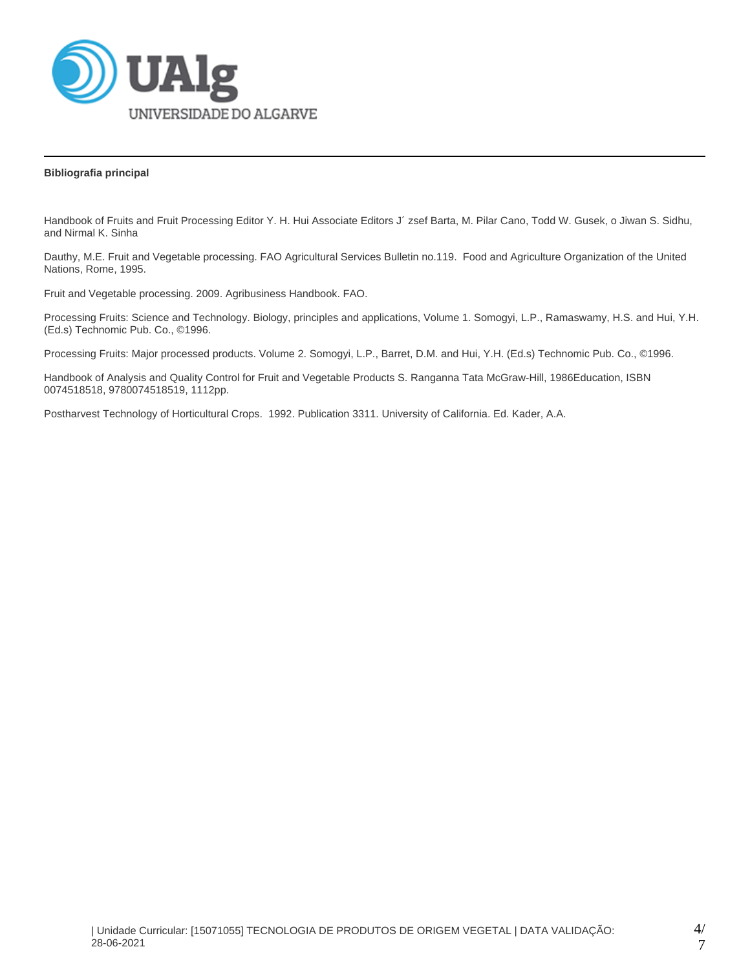

# **Bibliografia principal**

Handbook of Fruits and Fruit Processing Editor Y. H. Hui Associate Editors J´ zsef Barta, M. Pilar Cano, Todd W. Gusek, o Jiwan S. Sidhu, and Nirmal K. Sinha

Dauthy, M.E. Fruit and Vegetable processing. FAO Agricultural Services Bulletin no.119. Food and Agriculture Organization of the United Nations, Rome, 1995.

Fruit and Vegetable processing. 2009. Agribusiness Handbook. FAO.

Processing Fruits: Science and Technology. Biology, principles and applications, Volume 1. Somogyi, L.P., Ramaswamy, H.S. and Hui, Y.H. (Ed.s) Technomic Pub. Co., ©1996.

Processing Fruits: Major processed products. Volume 2. Somogyi, L.P., Barret, D.M. and Hui, Y.H. (Ed.s) Technomic Pub. Co., ©1996.

Handbook of Analysis and Quality Control for Fruit and Vegetable Products S. Ranganna Tata McGraw-Hill, 1986Education, ISBN 0074518518, 9780074518519, 1112pp.

Postharvest Technology of Horticultural Crops. 1992. Publication 3311. University of California. Ed. Kader, A.A.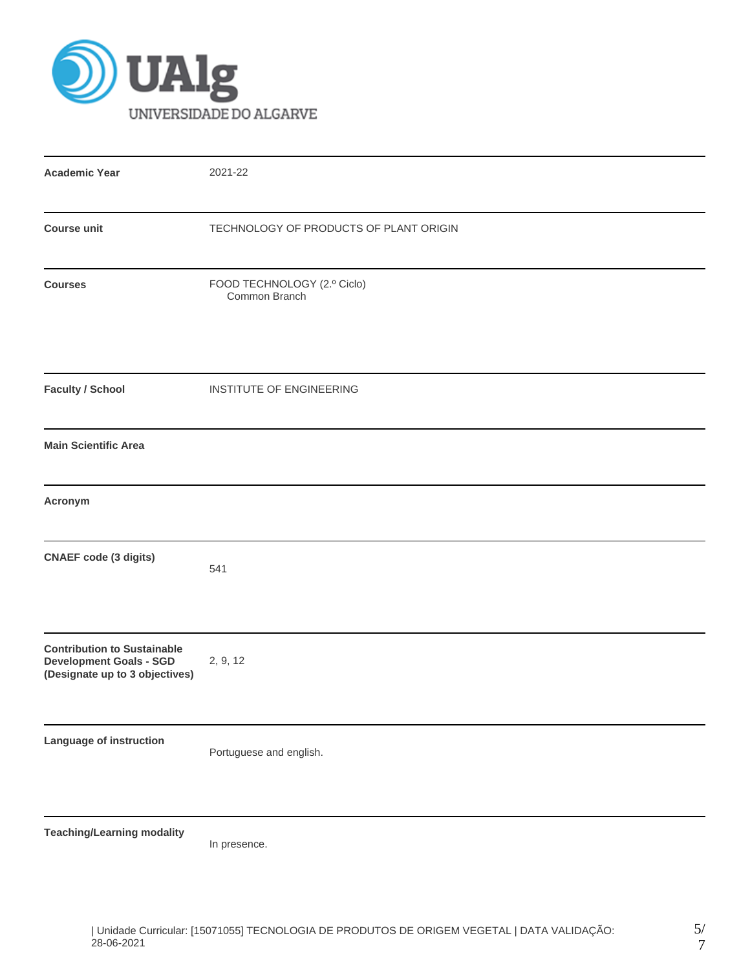

| <b>Academic Year</b>                                                                                   | 2021-22                                      |
|--------------------------------------------------------------------------------------------------------|----------------------------------------------|
| <b>Course unit</b>                                                                                     | TECHNOLOGY OF PRODUCTS OF PLANT ORIGIN       |
| <b>Courses</b>                                                                                         | FOOD TECHNOLOGY (2.º Ciclo)<br>Common Branch |
| <b>Faculty / School</b>                                                                                | INSTITUTE OF ENGINEERING                     |
| <b>Main Scientific Area</b>                                                                            |                                              |
| Acronym                                                                                                |                                              |
| <b>CNAEF</b> code (3 digits)                                                                           | 541                                          |
| <b>Contribution to Sustainable</b><br><b>Development Goals - SGD</b><br>(Designate up to 3 objectives) | 2, 9, 12                                     |
| Language of instruction                                                                                | Portuguese and english.                      |
| <b>Teaching/Learning modality</b>                                                                      | In presence.                                 |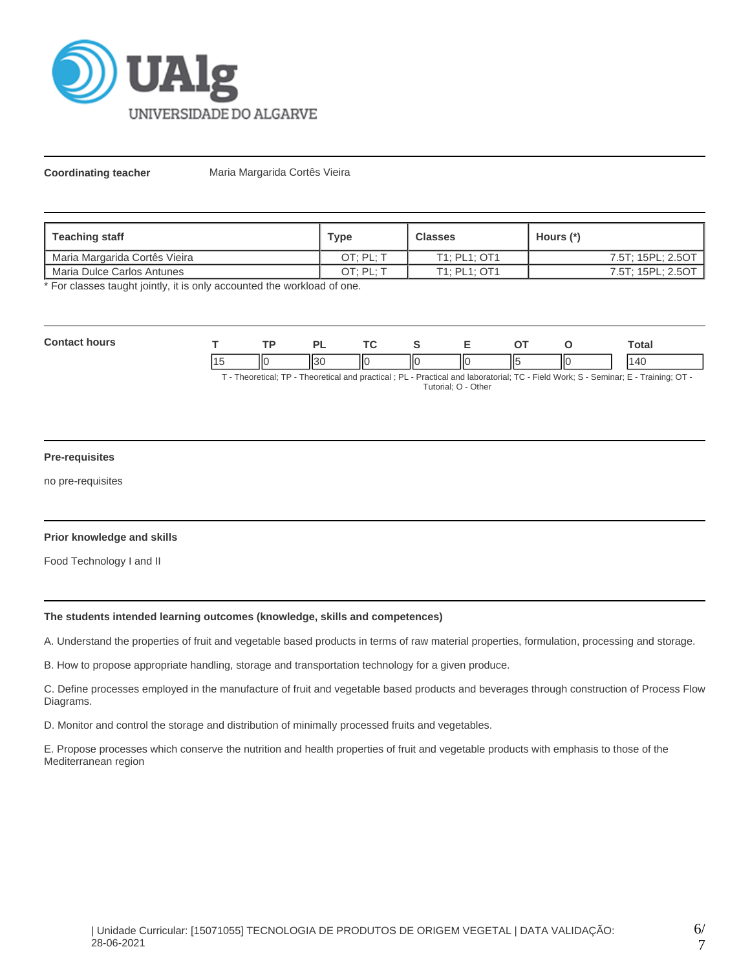

**Coordinating teacher Maria Margarida Cortês Vieira** 

| <b>Teaching staff</b>         | <b>Type</b> | <b>Classes</b> | Hours (*)         |
|-------------------------------|-------------|----------------|-------------------|
| Maria Margarida Cortês Vieira | OT: PL: T   | T1: PL1: OT1   | 7.5T; 15PL; 2.5OT |
| Maria Dulce Carlos Antunes    | OT: PL: 1   | T1: PL1: OT1   | 7.5T; 15PL; 2.5OT |

\* For classes taught jointly, it is only accounted the workload of one.

| Con<br>ours |    | ים            |    |    | - | $\Gamma$ |     | `otal |
|-------------|----|---------------|----|----|---|----------|-----|-------|
|             | ШC | $\sim$<br>וכו | НΟ | ШC |   | 115      | IІC |       |

T - Theoretical; TP - Theoretical and practical ; PL - Practical and laboratorial; TC - Field Work; S - Seminar; E - Training; OT - Tutorial; O - Other

# **Pre-requisites**

no pre-requisites

# **Prior knowledge and skills**

Food Technology I and II

# **The students intended learning outcomes (knowledge, skills and competences)**

A. Understand the properties of fruit and vegetable based products in terms of raw material properties, formulation, processing and storage.

B. How to propose appropriate handling, storage and transportation technology for a given produce.

C. Define processes employed in the manufacture of fruit and vegetable based products and beverages through construction of Process Flow Diagrams.

D. Monitor and control the storage and distribution of minimally processed fruits and vegetables.

E. Propose processes which conserve the nutrition and health properties of fruit and vegetable products with emphasis to those of the Mediterranean region